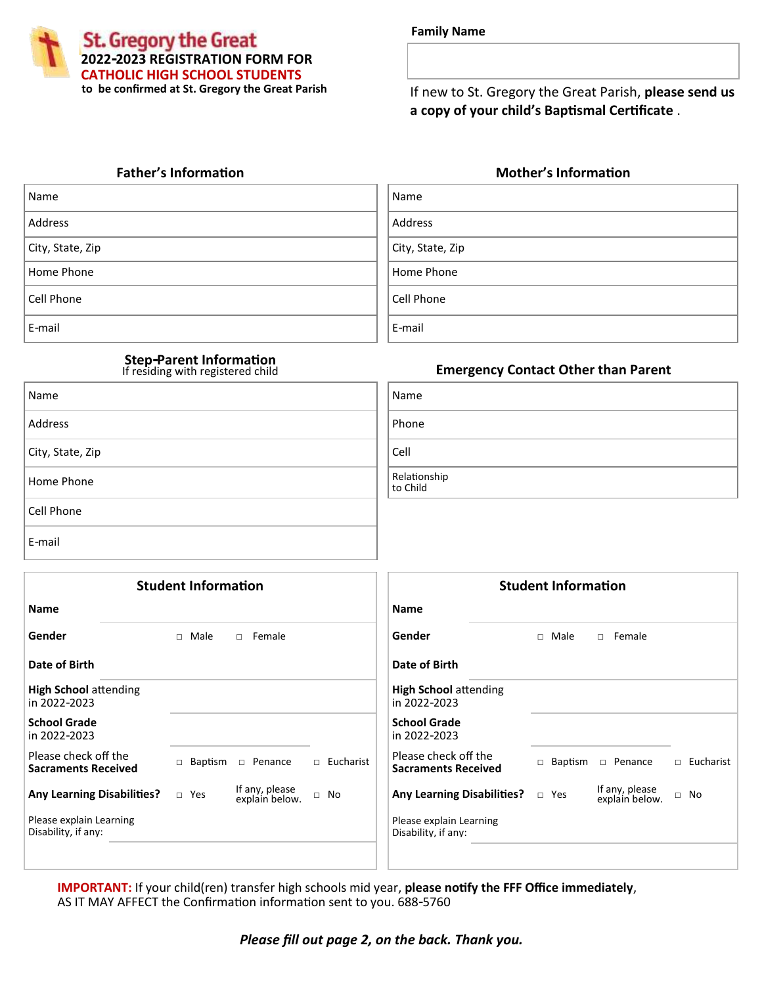**St. Gregory the Great 2022-2023 REGISTRATION FORM FOR CATHOLIC HIGH SCHOOL STUDENTS to be confirmed at St. Gregory the Great Parish**

| <b>Family Name</b> |  |
|--------------------|--|
|--------------------|--|

If new to St. Gregory the Great Parish, **please send us a copy of your child's Baptismal Certificate** .

| Name             | Name             |
|------------------|------------------|
| Address          | Address          |
| City, State, Zip | City, State, Zip |
| Home Phone       | Home Phone       |
| Cell Phone       | Cell Phone       |
| E-mail           | E-mail           |

| Name             | Name                     |
|------------------|--------------------------|
| Address          | Phone                    |
| City, State, Zip | Cell                     |
| Home Phone       | Relationship<br>to Child |
| Cell Phone       |                          |
| E-mail           |                          |

## **Father's Information Mother's Information**

| Name             |
|------------------|
| Address          |
| City, State, Zip |
| Home Phone       |
| Cell Phone       |
| E-mail           |

# **Emergency Contact Other than Parent Step-Parent Information**  If residing with registered child

| Name                     |
|--------------------------|
| Phone                    |
| Cell                     |
| Relationship<br>to Child |

|                                                    | <b>Student Information</b> |                                  |             |                                                    | <b>Student Information</b> |                                  |             |
|----------------------------------------------------|----------------------------|----------------------------------|-------------|----------------------------------------------------|----------------------------|----------------------------------|-------------|
| <b>Name</b>                                        |                            |                                  |             | <b>Name</b>                                        |                            |                                  |             |
| Gender                                             | $\Box$ Male                | □ Female                         |             | Gender                                             | $\Box$ Male                | $\Box$ Female                    |             |
| Date of Birth                                      |                            |                                  |             | Date of Birth                                      |                            |                                  |             |
| <b>High School attending</b><br>in 2022-2023       |                            |                                  |             | <b>High School attending</b><br>in 2022-2023       |                            |                                  |             |
| <b>School Grade</b><br>in 2022-2023                |                            |                                  |             | <b>School Grade</b><br>in 2022-2023                |                            |                                  |             |
| Please check off the<br><b>Sacraments Received</b> | Baptism<br>$\Box$          | D Penance                        | □ Eucharist | Please check off the<br><b>Sacraments Received</b> | $\Box$ Baptism             | $\Box$ Penance                   | □ Eucharist |
| <b>Any Learning Disabilities?</b>                  | $\Box$ Yes                 | If any, please<br>explain below. | $\Box$ No   | <b>Any Learning Disabilities?</b>                  | $\Box$ Yes                 | If any, please<br>explain below. | $\Box$ No   |
| Please explain Learning<br>Disability, if any:     |                            |                                  |             | Please explain Learning<br>Disability, if any:     |                            |                                  |             |
|                                                    |                            |                                  |             |                                                    |                            |                                  |             |

**IMPORTANT:** If your child(ren) transfer high schools mid year, **please notify the FFF Office immediately**, AS IT MAY AFFECT the Confirmation information sent to you. 688-5760

## *Please fill out page 2, on the back. Thank you.*